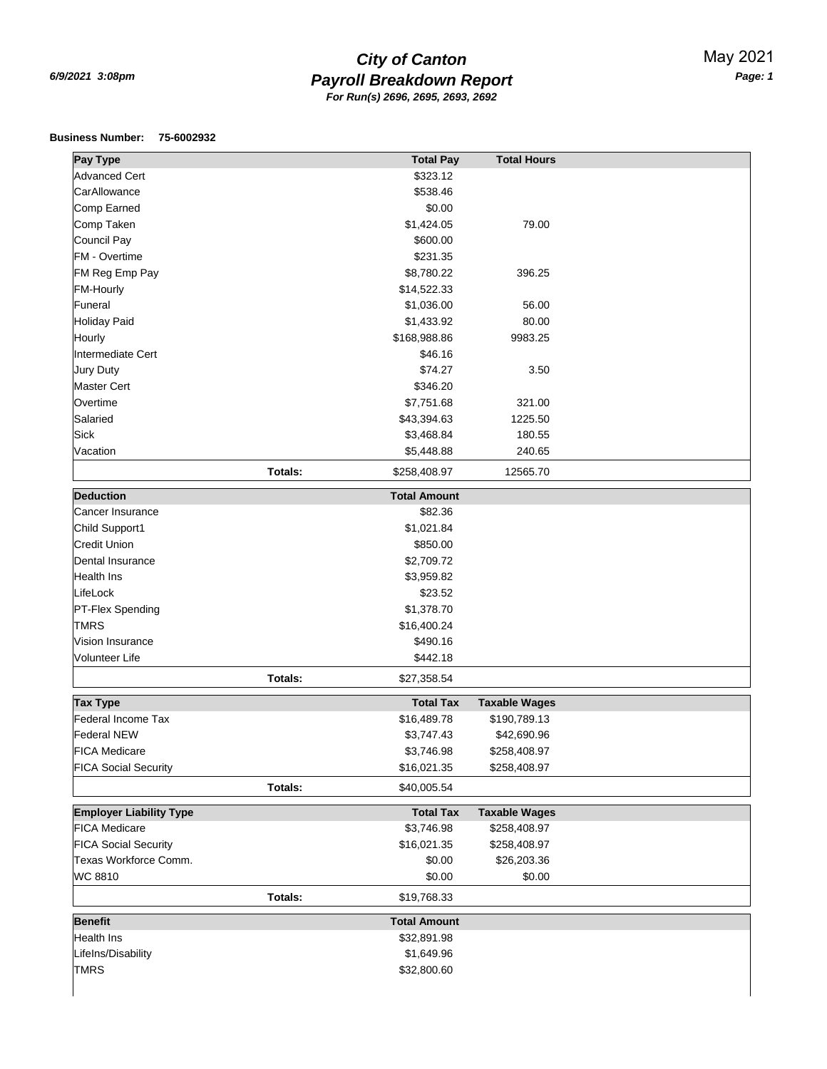## *Payroll Breakdown Report 6/9/2021 3:08pm Page: 1 City of Canton For Run(s) 2696, 2695, 2693, 2692*

## **Business Number: 75-6002932**

| <b>Pay Type</b>                       | <b>Total Pay</b>        | <b>Total Hours</b>   |  |  |
|---------------------------------------|-------------------------|----------------------|--|--|
| <b>Advanced Cert</b>                  | \$323.12                |                      |  |  |
| CarAllowance                          | \$538.46                |                      |  |  |
| Comp Earned                           | \$0.00                  |                      |  |  |
| Comp Taken                            | \$1,424.05              | 79.00                |  |  |
| Council Pay                           | \$600.00                |                      |  |  |
| FM - Overtime                         | \$231.35                |                      |  |  |
| FM Reg Emp Pay                        | \$8,780.22              | 396.25               |  |  |
| <b>FM-Hourly</b>                      | \$14,522.33             |                      |  |  |
| Funeral                               | \$1,036.00              | 56.00                |  |  |
| Holiday Paid                          | \$1,433.92              | 80.00                |  |  |
| Hourly                                | \$168,988.86            | 9983.25              |  |  |
| Intermediate Cert                     | \$46.16                 |                      |  |  |
| Jury Duty                             | \$74.27                 | 3.50                 |  |  |
| <b>Master Cert</b>                    | \$346.20                |                      |  |  |
| Overtime                              | \$7,751.68              | 321.00               |  |  |
| Salaried                              | \$43,394.63             | 1225.50              |  |  |
| <b>Sick</b>                           | \$3,468.84              | 180.55               |  |  |
| Vacation                              | \$5,448.88              | 240.65               |  |  |
|                                       |                         |                      |  |  |
|                                       | Totals:<br>\$258,408.97 | 12565.70             |  |  |
| <b>Deduction</b>                      | <b>Total Amount</b>     |                      |  |  |
| Cancer Insurance                      | \$82.36                 |                      |  |  |
| Child Support1                        | \$1,021.84              |                      |  |  |
| <b>Credit Union</b>                   | \$850.00                |                      |  |  |
| Dental Insurance                      | \$2,709.72              |                      |  |  |
| <b>Health Ins</b>                     | \$3,959.82              |                      |  |  |
| LifeLock                              | \$23.52                 |                      |  |  |
| PT-Flex Spending                      | \$1,378.70              |                      |  |  |
| <b>TMRS</b>                           | \$16,400.24             |                      |  |  |
| Vision Insurance                      | \$490.16                |                      |  |  |
| Volunteer Life                        | \$442.18                |                      |  |  |
|                                       | Totals:<br>\$27,358.54  |                      |  |  |
|                                       |                         |                      |  |  |
| <b>Tax Type</b>                       | <b>Total Tax</b>        | <b>Taxable Wages</b> |  |  |
| Federal Income Tax                    | \$16,489.78             | \$190,789.13         |  |  |
| <b>Federal NEW</b>                    | \$3,747.43              | \$42,690.96          |  |  |
| <b>FICA Medicare</b>                  | \$3,746.98              | \$258,408.97         |  |  |
| <b>FICA Social Security</b>           | \$16,021.35             | \$258,408.97         |  |  |
|                                       | Totals:<br>\$40,005.54  |                      |  |  |
| <b>Employer Liability Type</b>        | <b>Total Tax</b>        | <b>Taxable Wages</b> |  |  |
| <b>FICA Medicare</b>                  | \$3,746.98              | \$258,408.97         |  |  |
| <b>FICA Social Security</b>           | \$16,021.35             | \$258,408.97         |  |  |
| Texas Workforce Comm.                 | \$0.00                  | \$26,203.36          |  |  |
| WC 8810                               | \$0.00                  | \$0.00               |  |  |
|                                       |                         |                      |  |  |
|                                       | Totals:<br>\$19,768.33  |                      |  |  |
| <b>Benefit</b><br><b>Total Amount</b> |                         |                      |  |  |
| Health Ins                            | \$32,891.98             |                      |  |  |
| Lifelns/Disability                    | \$1,649.96              |                      |  |  |
| <b>TMRS</b>                           | \$32,800.60             |                      |  |  |
|                                       |                         |                      |  |  |